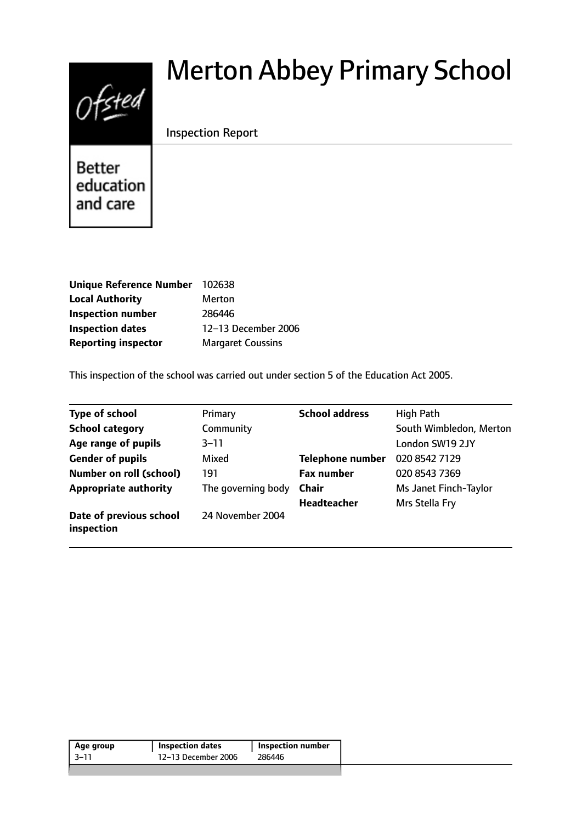# Ofsted

# Merton Abbey Primary School

# Inspection Report

**Better** education and care

| <b>Unique Reference Number</b> | 102638                   |
|--------------------------------|--------------------------|
| <b>Local Authority</b>         | Merton                   |
| <b>Inspection number</b>       | 286446                   |
| <b>Inspection dates</b>        | 12-13 December 2006      |
| <b>Reporting inspector</b>     | <b>Margaret Coussins</b> |

This inspection of the school was carried out under section 5 of the Education Act 2005.

| <b>Type of school</b>                 | Primary            | <b>School address</b>   | <b>High Path</b>        |
|---------------------------------------|--------------------|-------------------------|-------------------------|
| <b>School category</b>                | Community          |                         | South Wimbledon, Merton |
| Age range of pupils                   | $3 - 11$           |                         | London SW19 2JY         |
| <b>Gender of pupils</b>               | Mixed              | <b>Telephone number</b> | 020 8542 7129           |
| <b>Number on roll (school)</b>        | 191                | <b>Fax number</b>       | 020 8543 7369           |
| <b>Appropriate authority</b>          | The governing body | <b>Chair</b>            | Ms Janet Finch-Taylor   |
|                                       |                    | Headteacher             | Mrs Stella Fry          |
| Date of previous school<br>inspection | 24 November 2004   |                         |                         |

| 12-13 December 2006<br>3–11<br>286446 | Age group | <b>Inspection dates</b> | Inspection number |
|---------------------------------------|-----------|-------------------------|-------------------|
|                                       |           |                         |                   |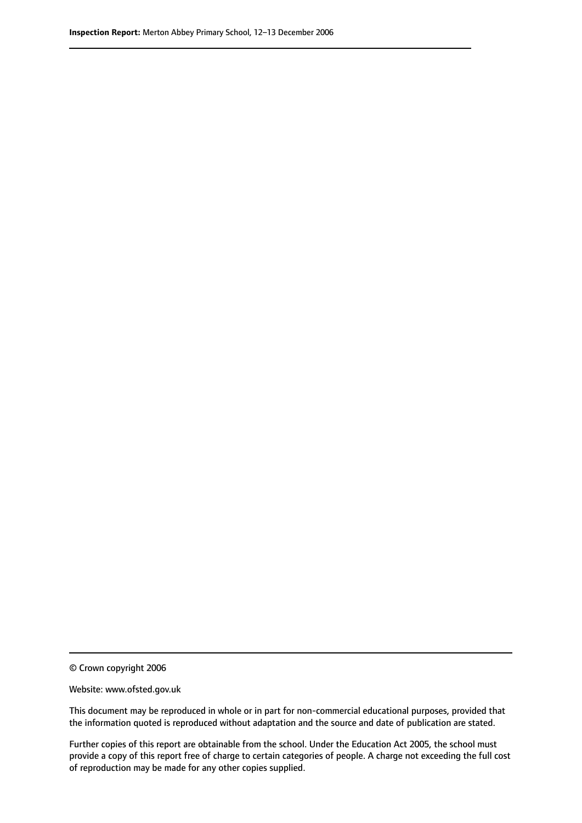© Crown copyright 2006

Website: www.ofsted.gov.uk

This document may be reproduced in whole or in part for non-commercial educational purposes, provided that the information quoted is reproduced without adaptation and the source and date of publication are stated.

Further copies of this report are obtainable from the school. Under the Education Act 2005, the school must provide a copy of this report free of charge to certain categories of people. A charge not exceeding the full cost of reproduction may be made for any other copies supplied.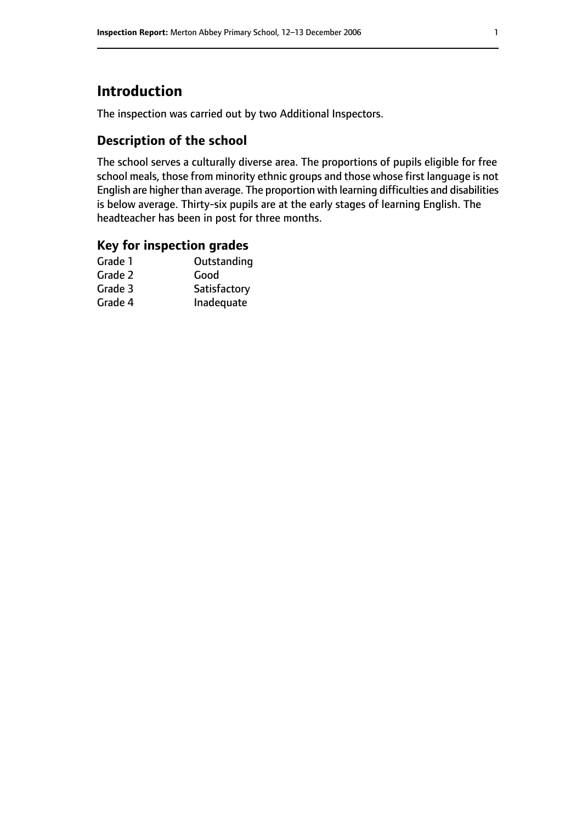# **Introduction**

The inspection was carried out by two Additional Inspectors.

## **Description of the school**

The school serves a culturally diverse area. The proportions of pupils eligible for free school meals, those from minority ethnic groups and those whose first language is not English are higher than average. The proportion with learning difficulties and disabilities is below average. Thirty-six pupils are at the early stages of learning English. The headteacher has been in post for three months.

### **Key for inspection grades**

| Good         |
|--------------|
|              |
| Satisfactory |
| Inadequate   |
|              |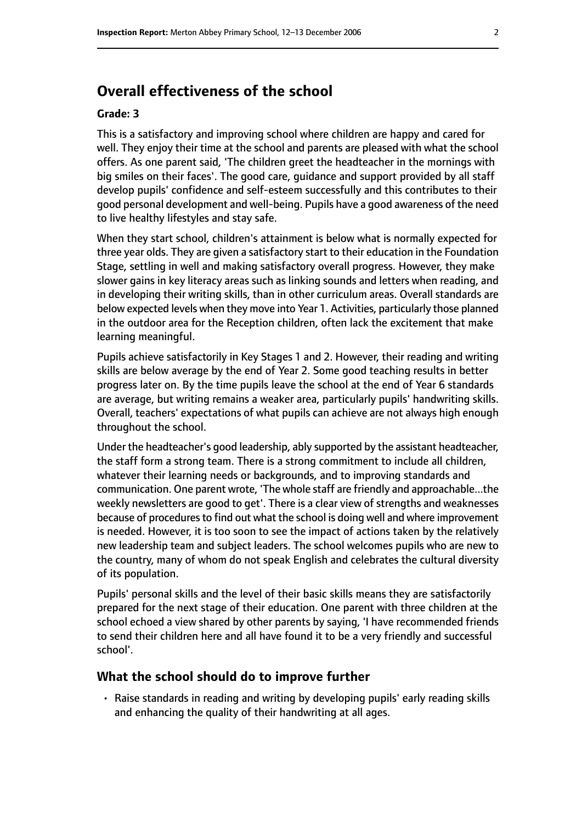# **Overall effectiveness of the school**

#### **Grade: 3**

This is a satisfactory and improving school where children are happy and cared for well. They enjoy their time at the school and parents are pleased with what the school offers. As one parent said, 'The children greet the headteacher in the mornings with big smiles on their faces'. The good care, guidance and support provided by all staff develop pupils' confidence and self-esteem successfully and this contributes to their good personal development and well-being. Pupils have a good awareness of the need to live healthy lifestyles and stay safe.

When they start school, children's attainment is below what is normally expected for three year olds. They are given a satisfactory start to their education in the Foundation Stage, settling in well and making satisfactory overall progress. However, they make slower gains in key literacy areas such as linking sounds and letters when reading, and in developing their writing skills, than in other curriculum areas. Overall standards are below expected levels when they move into Year 1. Activities, particularly those planned in the outdoor area for the Reception children, often lack the excitement that make learning meaningful.

Pupils achieve satisfactorily in Key Stages 1 and 2. However, their reading and writing skills are below average by the end of Year 2. Some good teaching results in better progress later on. By the time pupils leave the school at the end of Year 6 standards are average, but writing remains a weaker area, particularly pupils' handwriting skills. Overall, teachers' expectations of what pupils can achieve are not always high enough throughout the school.

Under the headteacher's good leadership, ably supported by the assistant headteacher, the staff form a strong team. There is a strong commitment to include all children, whatever their learning needs or backgrounds, and to improving standards and communication. One parent wrote, 'The whole staff are friendly and approachable...the weekly newsletters are good to get'. There is a clear view of strengths and weaknesses because of procedures to find out what the school is doing well and where improvement is needed. However, it is too soon to see the impact of actions taken by the relatively new leadership team and subject leaders. The school welcomes pupils who are new to the country, many of whom do not speak English and celebrates the cultural diversity of its population.

Pupils' personal skills and the level of their basic skills means they are satisfactorily prepared for the next stage of their education. One parent with three children at the school echoed a view shared by other parents by saying, 'I have recommended friends to send their children here and all have found it to be a very friendly and successful school'.

#### **What the school should do to improve further**

• Raise standards in reading and writing by developing pupils' early reading skills and enhancing the quality of their handwriting at all ages.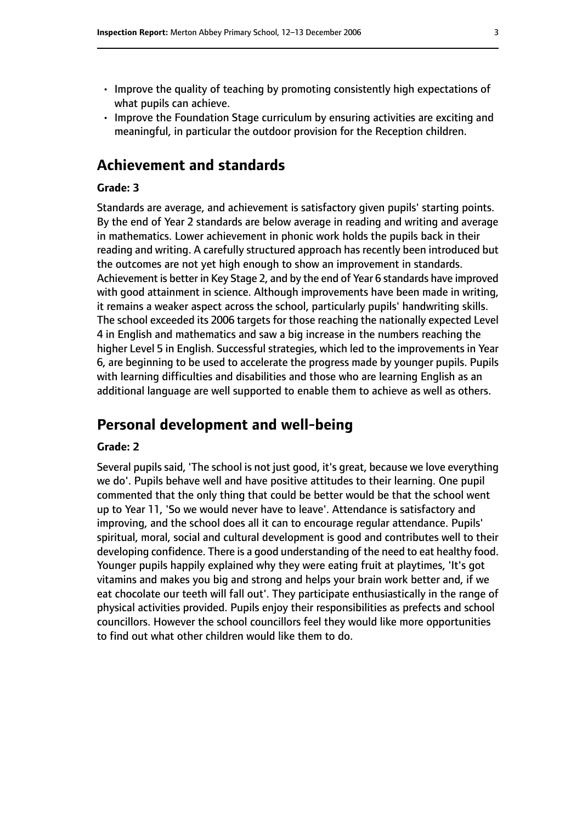- Improve the quality of teaching by promoting consistently high expectations of what pupils can achieve.
- Improve the Foundation Stage curriculum by ensuring activities are exciting and meaningful, in particular the outdoor provision for the Reception children.

# **Achievement and standards**

#### **Grade: 3**

Standards are average, and achievement is satisfactory given pupils' starting points. By the end of Year 2 standards are below average in reading and writing and average in mathematics. Lower achievement in phonic work holds the pupils back in their reading and writing. A carefully structured approach has recently been introduced but the outcomes are not yet high enough to show an improvement in standards. Achievement is better in Key Stage 2, and by the end of Year 6 standards have improved with good attainment in science. Although improvements have been made in writing, it remains a weaker aspect across the school, particularly pupils' handwriting skills. The school exceeded its 2006 targets for those reaching the nationally expected Level 4 in English and mathematics and saw a big increase in the numbers reaching the higher Level 5 in English. Successful strategies, which led to the improvements in Year 6, are beginning to be used to accelerate the progress made by younger pupils. Pupils with learning difficulties and disabilities and those who are learning English as an additional language are well supported to enable them to achieve as well as others.

# **Personal development and well-being**

#### **Grade: 2**

Several pupils said, 'The school is not just good, it's great, because we love everything we do'. Pupils behave well and have positive attitudes to their learning. One pupil commented that the only thing that could be better would be that the school went up to Year 11, 'So we would never have to leave'. Attendance is satisfactory and improving, and the school does all it can to encourage regular attendance. Pupils' spiritual, moral, social and cultural development is good and contributes well to their developing confidence. There is a good understanding of the need to eat healthy food. Younger pupils happily explained why they were eating fruit at playtimes, 'It's got vitamins and makes you big and strong and helps your brain work better and, if we eat chocolate our teeth will fall out'. They participate enthusiastically in the range of physical activities provided. Pupils enjoy their responsibilities as prefects and school councillors. However the school councillors feel they would like more opportunities to find out what other children would like them to do.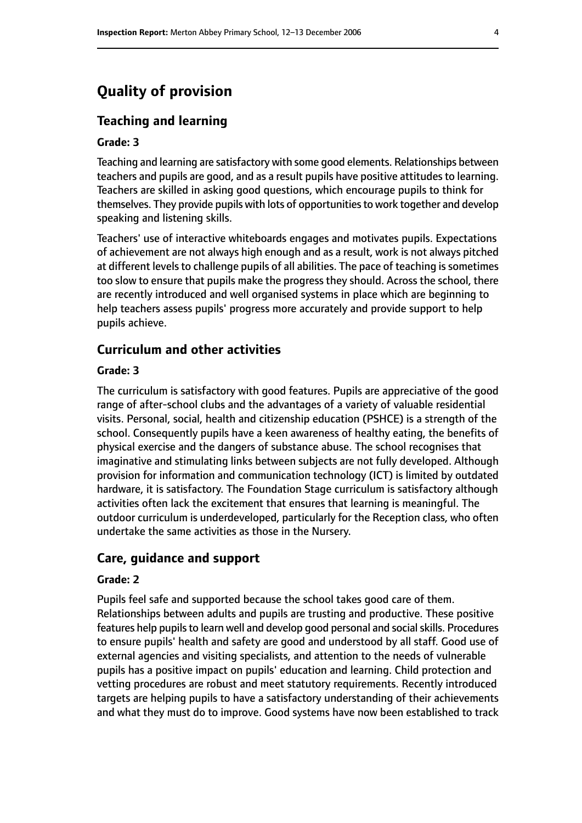# **Quality of provision**

#### **Teaching and learning**

#### **Grade: 3**

Teaching and learning are satisfactory with some good elements. Relationships between teachers and pupils are good, and as a result pupils have positive attitudes to learning. Teachers are skilled in asking good questions, which encourage pupils to think for themselves. They provide pupils with lots of opportunities to work together and develop speaking and listening skills.

Teachers' use of interactive whiteboards engages and motivates pupils. Expectations of achievement are not always high enough and as a result, work is not always pitched at different levels to challenge pupils of all abilities. The pace of teaching is sometimes too slow to ensure that pupils make the progress they should. Across the school, there are recently introduced and well organised systems in place which are beginning to help teachers assess pupils' progress more accurately and provide support to help pupils achieve.

#### **Curriculum and other activities**

#### **Grade: 3**

The curriculum is satisfactory with good features. Pupils are appreciative of the good range of after-school clubs and the advantages of a variety of valuable residential visits. Personal, social, health and citizenship education (PSHCE) is a strength of the school. Consequently pupils have a keen awareness of healthy eating, the benefits of physical exercise and the dangers of substance abuse. The school recognises that imaginative and stimulating links between subjects are not fully developed. Although provision for information and communication technology (ICT) is limited by outdated hardware, it is satisfactory. The Foundation Stage curriculum is satisfactory although activities often lack the excitement that ensures that learning is meaningful. The outdoor curriculum is underdeveloped, particularly for the Reception class, who often undertake the same activities as those in the Nursery.

#### **Care, guidance and support**

#### **Grade: 2**

Pupils feel safe and supported because the school takes good care of them. Relationships between adults and pupils are trusting and productive. These positive features help pupils to learn well and develop good personal and social skills. Procedures to ensure pupils' health and safety are good and understood by all staff. Good use of external agencies and visiting specialists, and attention to the needs of vulnerable pupils has a positive impact on pupils' education and learning. Child protection and vetting procedures are robust and meet statutory requirements. Recently introduced targets are helping pupils to have a satisfactory understanding of their achievements and what they must do to improve. Good systems have now been established to track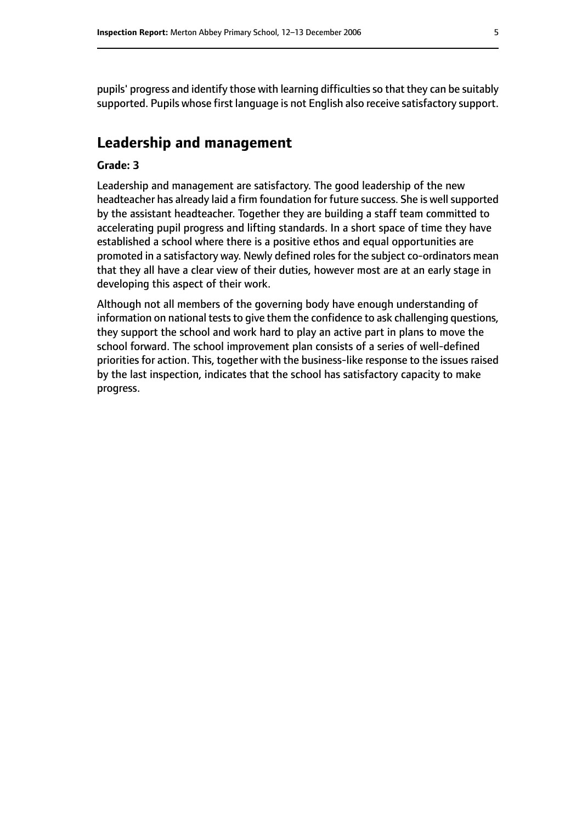pupils' progress and identify those with learning difficulties so that they can be suitably supported. Pupils whose first language is not English also receive satisfactory support.

# **Leadership and management**

#### **Grade: 3**

Leadership and management are satisfactory. The good leadership of the new headteacher has already laid a firm foundation for future success. She is well supported by the assistant headteacher. Together they are building a staff team committed to accelerating pupil progress and lifting standards. In a short space of time they have established a school where there is a positive ethos and equal opportunities are promoted in a satisfactory way. Newly defined roles for the subject co-ordinators mean that they all have a clear view of their duties, however most are at an early stage in developing this aspect of their work.

Although not all members of the governing body have enough understanding of information on national tests to give them the confidence to ask challenging questions, they support the school and work hard to play an active part in plans to move the school forward. The school improvement plan consists of a series of well-defined priorities for action. This, together with the business-like response to the issues raised by the last inspection, indicates that the school has satisfactory capacity to make progress.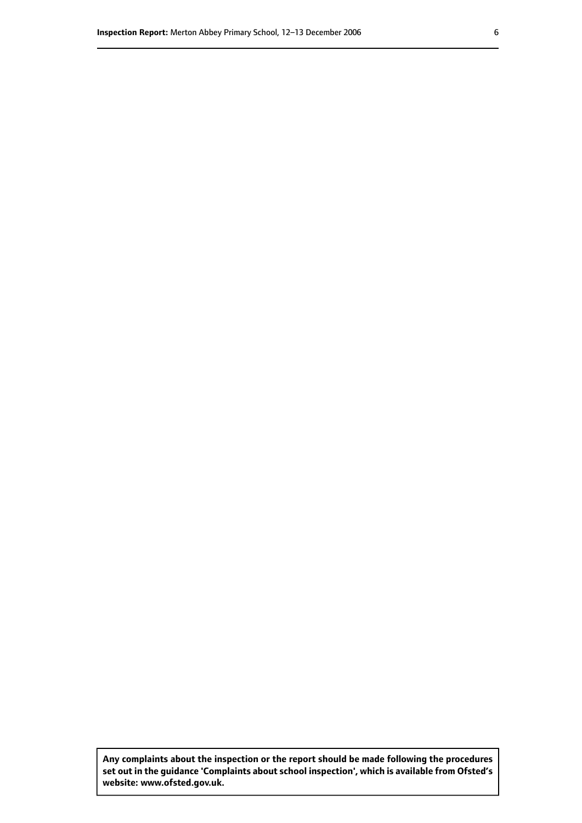**Any complaints about the inspection or the report should be made following the procedures set out inthe guidance 'Complaints about school inspection', whichis available from Ofsted's website: www.ofsted.gov.uk.**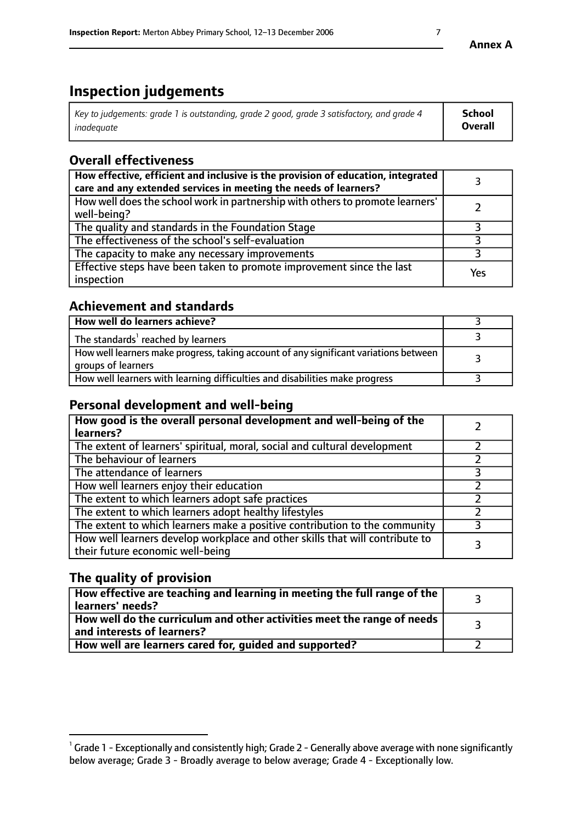# **Inspection judgements**

| Key to judgements: grade 1 is outstanding, grade 2 good, grade 3 satisfactory, and grade 4 | School         |
|--------------------------------------------------------------------------------------------|----------------|
| inadeauate                                                                                 | <b>Overall</b> |

# **Overall effectiveness**

| How effective, efficient and inclusive is the provision of education, integrated<br>care and any extended services in meeting the needs of learners? |     |
|------------------------------------------------------------------------------------------------------------------------------------------------------|-----|
| How well does the school work in partnership with others to promote learners'<br>well-being?                                                         |     |
| The quality and standards in the Foundation Stage                                                                                                    |     |
| The effectiveness of the school's self-evaluation                                                                                                    |     |
| The capacity to make any necessary improvements                                                                                                      |     |
| Effective steps have been taken to promote improvement since the last<br>inspection                                                                  | Yes |

# **Achievement and standards**

| How well do learners achieve?                                                                               |  |
|-------------------------------------------------------------------------------------------------------------|--|
| The standards <sup>1</sup> reached by learners                                                              |  |
| How well learners make progress, taking account of any significant variations between<br>groups of learners |  |
| How well learners with learning difficulties and disabilities make progress                                 |  |

# **Personal development and well-being**

| How good is the overall personal development and well-being of the<br>learners?                                  |  |
|------------------------------------------------------------------------------------------------------------------|--|
| The extent of learners' spiritual, moral, social and cultural development                                        |  |
| The behaviour of learners                                                                                        |  |
| The attendance of learners                                                                                       |  |
| How well learners enjoy their education                                                                          |  |
| The extent to which learners adopt safe practices                                                                |  |
| The extent to which learners adopt healthy lifestyles                                                            |  |
| The extent to which learners make a positive contribution to the community                                       |  |
| How well learners develop workplace and other skills that will contribute to<br>their future economic well-being |  |

# **The quality of provision**

| How effective are teaching and learning in meeting the full range of the<br>learners' needs?          |  |
|-------------------------------------------------------------------------------------------------------|--|
| How well do the curriculum and other activities meet the range of needs<br>and interests of learners? |  |
| How well are learners cared for, guided and supported?                                                |  |

 $^1$  Grade 1 - Exceptionally and consistently high; Grade 2 - Generally above average with none significantly below average; Grade 3 - Broadly average to below average; Grade 4 - Exceptionally low.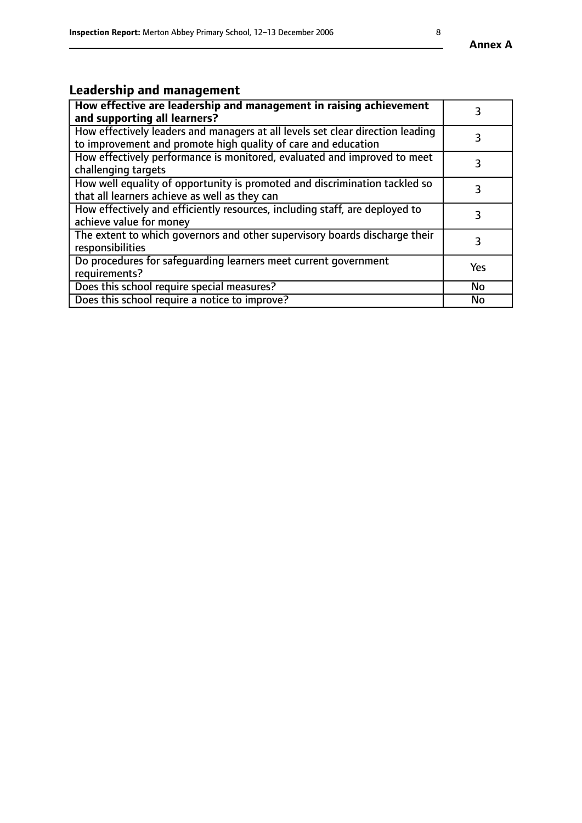# **Leadership and management**

| How effective are leadership and management in raising achievement<br>and supporting all learners?                                              |     |
|-------------------------------------------------------------------------------------------------------------------------------------------------|-----|
| How effectively leaders and managers at all levels set clear direction leading<br>to improvement and promote high quality of care and education |     |
| How effectively performance is monitored, evaluated and improved to meet<br>challenging targets                                                 | 3   |
| How well equality of opportunity is promoted and discrimination tackled so<br>that all learners achieve as well as they can                     |     |
| How effectively and efficiently resources, including staff, are deployed to<br>achieve value for money                                          | 3   |
| The extent to which governors and other supervisory boards discharge their<br>responsibilities                                                  |     |
| Do procedures for safequarding learners meet current government<br>requirements?                                                                | Yes |
| Does this school require special measures?                                                                                                      | No  |
| Does this school require a notice to improve?                                                                                                   | No  |